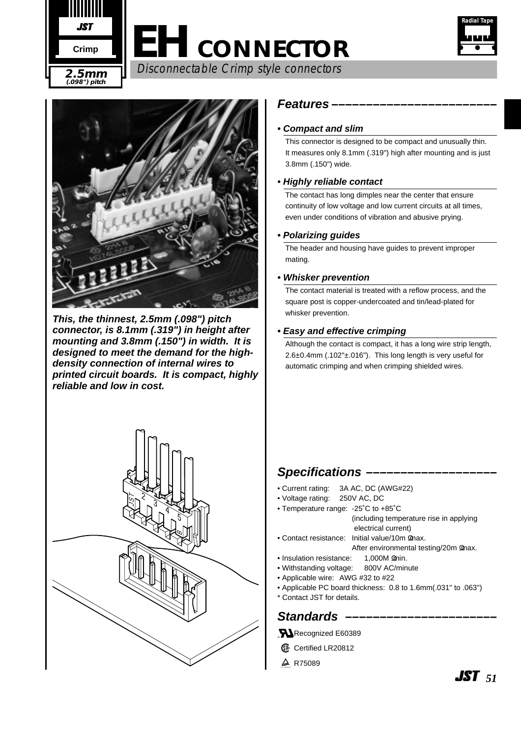

# **EH CONNECTOR** Disconnectable Crimp style connectors **2.5mm**





**This, the thinnest, 2.5mm (.098") pitch connector, is 8.1mm (.319") in height after mounting and 3.8mm (.150") in width. It is designed to meet the demand for the highdensity connection of internal wires to printed circuit boards. It is compact, highly reliable and low in cost.**



#### **Features ––––––––––––––––––––––––**

#### **• Compact and slim**

This connector is designed to be compact and unusually thin. It measures only 8.1mm (.319") high after mounting and is just 3.8mm (.150") wide.

#### **• Highly reliable contact**

The contact has long dimples near the center that ensure continuity of low voltage and low current circuits at all times, even under conditions of vibration and abusive prying.

#### **• Polarizing guides**

The header and housing have guides to prevent improper mating.

#### **• Whisker prevention**

The contact material is treated with a reflow process, and the square post is copper-undercoated and tin/lead-plated for whisker prevention.

#### **• Easy and effective crimping**

Although the contact is compact, it has a long wire strip length, 2.6±0.4mm (.102"±.016"). This long length is very useful for automatic crimping and when crimping shielded wires.

#### **Specifications –**

- Current rating: 3A AC, DC (AWG#22)
- Voltage rating: 250V AC, DC
- Temperature range:-25˚C to +85˚C (including temperature rise in applying electrical current) • Contact resistance: Initial value/10m max.
- After environmental testing/20m max.
- Insulation resistance: 1,000M min.
- Withstanding voltage: 800V AC/minute
- Applicable wire: AWG #32 to #22
- Applicable PC board thickness:0.8 to 1.6mm(.031" to .063")
- \* Contact JST for details.

#### **Standards ––––––––––––––––––––––**

**N**Recognized E60389

- **6** Certified LR20812
- $\triangle$  R75089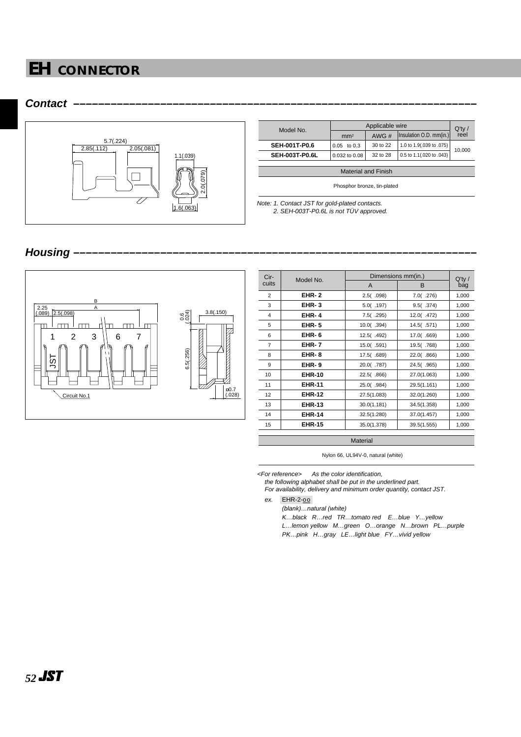



| Model No.             | Applicable wire |          |                          | $Q'$ ty / |  |
|-----------------------|-----------------|----------|--------------------------|-----------|--|
|                       | mm <sup>2</sup> | AWG#     | Insulation O.D. mm(in.)  | reel      |  |
| <b>SEH-001T-P0.6</b>  | $0.05$ to $0.3$ | 30 to 22 | 1.0 to 1.9(.039 to .075) | 10.000    |  |
| <b>SEH-003T-P0.6L</b> | 0.032 to 0.08   | 32 to 28 | 0.5 to 1.1(.020 to .043) |           |  |
|                       |                 |          |                          |           |  |

Material and Finish

Phosphor bronze, tin-plated

Note: 1. Contact JST for gold-plated contacts.<br>2. SEH-003T-P0.6L is not TÜV approved.

#### Housing



| Cir-<br>Model No. |               | Dimensions mm(in.) | $Q'$ ty /    |       |  |
|-------------------|---------------|--------------------|--------------|-------|--|
| cuits             |               | A                  | B            | bag   |  |
| $\overline{2}$    | <b>EHR-2</b>  | 2.5( .098)         | $7.0($ .276) | 1,000 |  |
| 3                 | $EHR-3$       | 5.0( .197)         | 9.5( .374)   | 1,000 |  |
| 4                 | <b>EHR-4</b>  | 7.5( .295)         | 12.0(.472)   | 1,000 |  |
| 5                 | <b>EHR-5</b>  | 10.0(.394)         | 14.5 (.571)  | 1,000 |  |
| 6                 | EHR-6         | 12.5 (.492)        | 17.0(.669)   | 1,000 |  |
| 7                 | <b>EHR-7</b>  | 15.0(.591)         | 19.5 (.768)  | 1,000 |  |
| 8                 | <b>EHR-8</b>  | 17.5(.689)         | 22.0(.866)   | 1,000 |  |
| 9                 | EHR-9         | 20.0(.787)         | 24.5(.965)   | 1,000 |  |
| 10                | <b>EHR-10</b> | 22.5(.866)         | 27.0(1.063)  | 1,000 |  |
| 11                | <b>EHR-11</b> | 25.0(.984)         | 29.5(1.161)  | 1,000 |  |
| 12                | <b>EHR-12</b> | 27.5(1.083)        | 32.0(1.260)  | 1,000 |  |
| 13                | <b>EHR-13</b> | 30.0(1.181)        | 34.5(1.358)  | 1,000 |  |
| 14                | <b>EHR-14</b> | 32.5(1.280)        | 37.0(1.457)  | 1,000 |  |
| 15                | <b>EHR-15</b> | 35.0(1.378)        | 39.5(1.555)  | 1,000 |  |
|                   |               |                    |              |       |  |

**Material** 

Nylon 66, UL94V-0, natural (white)

<For reference> As the color identification,

the following alphabet shall be put in the underlined part. For availability, delivery and minimum order quantity, contact JST.

ex. EHR-2-00

(blank)…natural (white)

K…black R…red TR…tomato red E…blue Y…yellow L…lemon yellow M…green O…orange N…brown PL…purple PK…pink H…gray LE…light blue FY…vivid yellow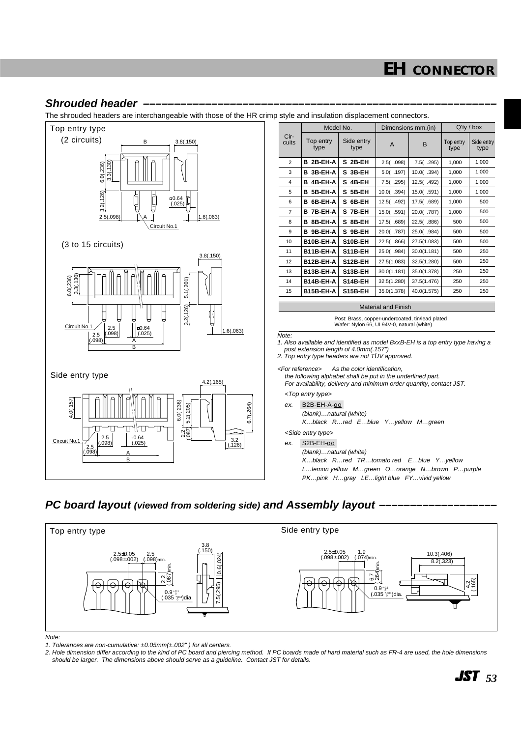#### **Shrouded header**

The shrouded headers are interchangeable with those of the HR crimp style and insulation displacement connectors.



|                      | Model No.         |                    | Dimensions mm.(in) |             | $Q'$ ty / box     |                    |
|----------------------|-------------------|--------------------|--------------------|-------------|-------------------|--------------------|
| Cir-<br>cuits        | Top entry<br>type | Side entry<br>type | A                  | B           | Top entry<br>type | Side entry<br>type |
| 2                    | B 2B-EH-A         | S 2B-EH            | 2.5( .098)         | 7.5( .295)  | 1,000             | 1,000              |
| 3                    | B 3B-EH-A         | S 3B-EH            | 5.0(.197)          | 10.0(.394)  | 1,000             | 1.000              |
| 4                    | 4B-EH-A<br>в      | S 4B-EH            | 7.5( .295)         | 12.5(.492)  | 1,000             | 1,000              |
| 5                    | 5B-EH-A<br>в      | S 5B-EH            | 10.0(.394)         | 15.0( .591) | 1,000             | 1,000              |
| 6                    | 6B-EH-A<br>в      | 6B-EH<br>s         | 12.5(.492)         | 17.5(.689)  | 1,000             | 500                |
| $\overline{7}$       | 7B-EH-A<br>в      | S 7B-EH            | 15.0(.591)         | 20.0(.787)  | 1,000             | 500                |
| 8                    | 8B-EH-A<br>в      | S 8B-EH            | 17.5(.689)         | 22.5(.886)  | 500               | 500                |
| 9                    | 9B-EH-A<br>в      | S 9B-EH            | 20.0(.787)         | 25.0(.984)  | 500               | 500                |
| 10                   | B10B-EH-A         | S10B-EH            | 22.5(.866)         | 27.5(1.083) | 500               | 500                |
| 11                   | B11B-EH-A         | S11B-EH            | 25.0(.984)         | 30.0(1.181) | 500               | 250                |
| 12                   | B12B-EH-A         | S12B-EH            | 27.5(1.083)        | 32.5(1.280) | 500               | 250                |
| 13                   | B13B-EH-A         | S13B-EH            | 30.0(1.181)        | 35.0(1.378) | 250               | 250                |
| 14                   | B14B-EH-A         | S14B-EH            | 32.5(1.280)        | 37.5(1.476) | 250               | 250                |
| 15                   | B15B-EH-A         | S15B-EH            | 35.0(1.378)        | 40.0(1.575) | 250               | 250                |
| Material and Fisiole |                   |                    |                    |             |                   |                    |

Material and Finish

Post: Brass, copper-undercoated, tin/lead plated Wafer: Nylon 66, UL94V-0, natural (white)

1. Also available and identified as model BxxB-EH is a top entry type having a post extension length of 4.0mm(.157")<br>2. Top entry type headers are not TUV approved.

<For reference> As the color identification, the following alphabet shall be put in the underlined part.

For availability, delivery and minimum order quantity, contact JST.

ex. B2B-EH-A-00

(blank)…natural (white)

K…black R…red E…blue Y…yellow M…green

<Side entry type>

(blank)…natural (white) K…black R…red TR…tomato red E…blue Y…yellow L…lemon yellow M…green O…orange N…brown P…purple PK…pink H…gray LE…light blue FY…vivid yellow

#### **PC board layout (viewed from soldering side) and Assembly layout -**



Note:

1. Tolerances are non-cumulative:  $\pm 0.05$ mm $(\pm .002"$ ) for all centers.

2. Hole dimension differ according to the kind of PC board and piercing method. If PC boards made of hard material such as FR-4 are used, the hole dimensions should be larger. The dimensions above should serve as a guideline. Contact JST for details.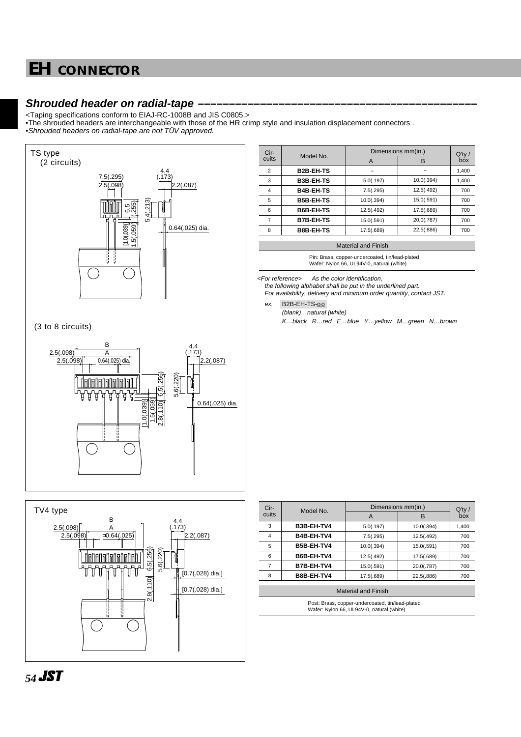#### **Shrouded header on radial-tape**

<Taping specifications conform to EIAJ-RC-1008B and JIS C0805.>

•The shrouded headers are interchangeable with those of the HR crimp style and insulation displacement connectors . •Shrouded headers on radial-tape are not TUV approved.





| Cir-           | Model No.        | Dimensions mm(in.) | $Q'$ ty /  |       |  |
|----------------|------------------|--------------------|------------|-------|--|
| cuits          |                  | A                  | в          | box   |  |
| $\overline{2}$ | <b>B2B-EH-TS</b> |                    |            | 1,400 |  |
| 3              | <b>B3B-EH-TS</b> | 5.0(.197)          | 10.0(.394) | 1,400 |  |
| 4              | <b>B4B-EH-TS</b> | 7.5(.295)          | 12.5(.492) | 700   |  |
| 5              | <b>B5B-EH-TS</b> | 10.0(.394)         | 15.0(.591) | 700   |  |
| 6              | <b>B6B-EH-TS</b> | 12.5(.492)         | 17.5(.689) | 700   |  |
| 7              | <b>B7B-EH-TS</b> | 15.0(.591)         | 20.0(.787) | 700   |  |
| 8              | <b>B8B-EH-TS</b> | 17.5(.689)         | 22.5(.886) | 700   |  |
|                |                  |                    |            |       |  |

Material and Finish

Pin: Brass, copper-undercoated, tin/lead-plated Wafer: Nylon 66, UL94V-0, natural (white)

<For reference> As the color identification,

the following alphabet shall be put in the underlined part.

For availability, delivery and minimum order quantity, contact JST.

ex. B2B-EH-TS-00 (blank)…natural (white)

K…black R…red E…blue Y…yellow M…green N…brown

| Cir-<br>cuits  | Model No.  | Dimensions mm(in.) | $Q'$ ty /  |       |
|----------------|------------|--------------------|------------|-------|
|                |            | A                  | в          | box   |
| 3              | B3B-EH-TV4 | 5.0(.197)          | 10.0(.394) | 1,400 |
| $\overline{4}$ | B4B-EH-TV4 | 7.5(.295)          | 12.5(.492) | 700   |
| 5              | B5B-EH-TV4 | 10.0(.394)         | 15.0(.591) | 700   |
| 6              | B6B-EH-TV4 | 12.5(.492)         | 17.5(.689) | 700   |
|                | B7B-EH-TV4 | 15.0(.591)         | 20.0(.787) | 700   |
| 8              | B8B-EH-TV4 | 17.5(.689)         | 22.5(.886) | 700   |
|                |            |                    |            |       |

#### Material and Finish

Post: Brass, copper-undercoated, tin/lead-plated Wafer: Nylon 66, UL94V-0, natural (white)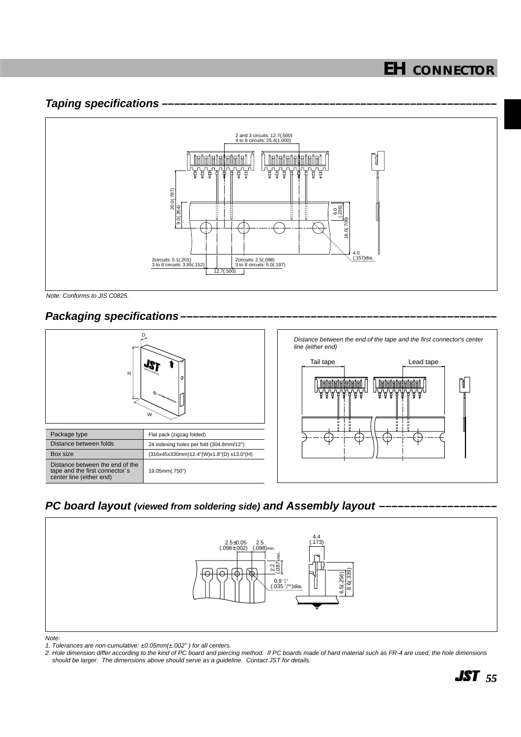#### **Taping specifications**



Note: Conforms to JIS C0825.

#### **Packaging specifications**



#### **PC board layout (viewed from soldering side) and Assembly layout -**



1. Tolerances are non-cumulative:  $\pm 0.05$ mm( $\pm .002"$ ) for all centers.

2. Hole dimension differ according to the kind of PC board and piercing method. If PC boards made of hard material such as FR-4 are used, the hole dimensions should be larger. The dimensions above should serve as a guideline. Contact JST for details.